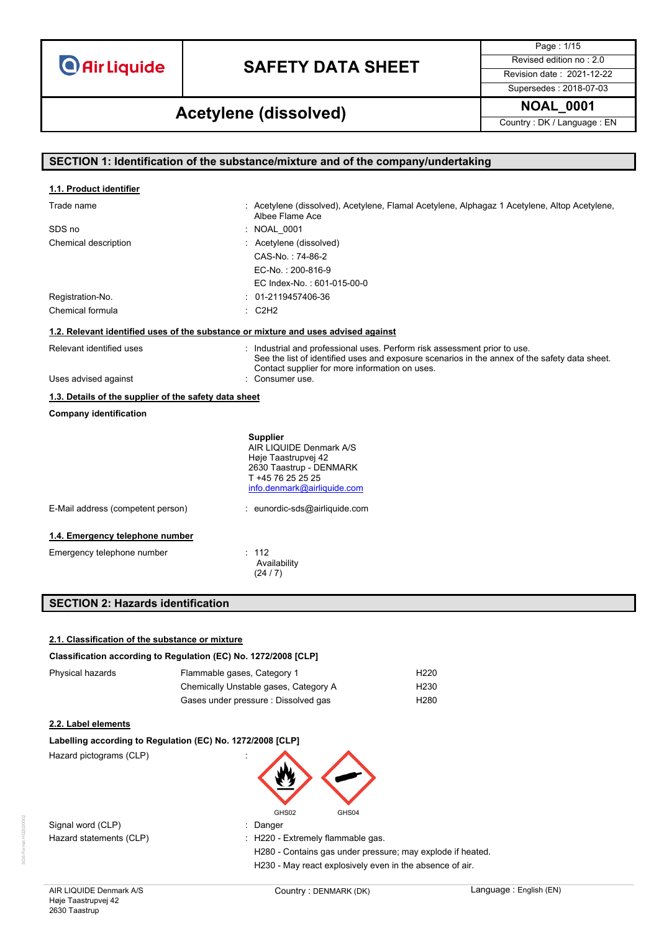# **SAFETY DATA SHEET** Revised edition no : 2.0

Page : 1/15 Supersedes : 2018-07-03

**NOAL\_0001 Acetylene (dissolved)**

Country : DK / Language : EN

| SECTION 1: Identification of the substance/mixture and of the company/undertaking |                                                                                                                                                                                                                              |  |  |
|-----------------------------------------------------------------------------------|------------------------------------------------------------------------------------------------------------------------------------------------------------------------------------------------------------------------------|--|--|
|                                                                                   |                                                                                                                                                                                                                              |  |  |
| 1.1. Product identifier                                                           |                                                                                                                                                                                                                              |  |  |
| Trade name                                                                        | : Acetylene (dissolved), Acetylene, Flamal Acetylene, Alphagaz 1 Acetylene, Altop Acetylene,<br>Albee Flame Ace                                                                                                              |  |  |
| SDS no                                                                            | : NOAL_0001                                                                                                                                                                                                                  |  |  |
| Chemical description                                                              | : Acetylene (dissolved)                                                                                                                                                                                                      |  |  |
|                                                                                   | CAS-No.: 74-86-2                                                                                                                                                                                                             |  |  |
|                                                                                   | EC-No.: 200-816-9                                                                                                                                                                                                            |  |  |
|                                                                                   | EC Index-No.: 601-015-00-0                                                                                                                                                                                                   |  |  |
| Registration-No.                                                                  | $: 01-2119457406-36$                                                                                                                                                                                                         |  |  |
| Chemical formula                                                                  | : C2H2                                                                                                                                                                                                                       |  |  |
|                                                                                   | 1.2. Relevant identified uses of the substance or mixture and uses advised against                                                                                                                                           |  |  |
| Relevant identified uses                                                          | : Industrial and professional uses. Perform risk assessment prior to use.<br>See the list of identified uses and exposure scenarios in the annex of the safety data sheet.<br>Contact supplier for more information on uses. |  |  |
| Uses advised against                                                              | : Consumer use.                                                                                                                                                                                                              |  |  |
| 1.3. Details of the supplier of the safety data sheet                             |                                                                                                                                                                                                                              |  |  |
| <b>Company identification</b>                                                     |                                                                                                                                                                                                                              |  |  |
|                                                                                   | <b>Supplier</b><br>AIR LIQUIDE Denmark A/S<br>Høje Taastrupvej 42<br>2630 Taastrup - DENMARK<br>T +45 76 25 25 25<br>info.denmark@airliquide.com                                                                             |  |  |
| E-Mail address (competent person)                                                 | : eunordic-sds@airliquide.com                                                                                                                                                                                                |  |  |
| 1.4. Emergency telephone number                                                   |                                                                                                                                                                                                                              |  |  |
| Emergency telephone number                                                        | : 112                                                                                                                                                                                                                        |  |  |
|                                                                                   | Availability<br>(24/7)                                                                                                                                                                                                       |  |  |
| <b>SECTION 2: Hazards identification</b>                                          |                                                                                                                                                                                                                              |  |  |
|                                                                                   |                                                                                                                                                                                                                              |  |  |
|                                                                                   |                                                                                                                                                                                                                              |  |  |
| 2.1. Classification of the substance or mixture                                   |                                                                                                                                                                                                                              |  |  |

### **Classification according to Regulation (EC) No. 1272/2008 [CLP]**

| Physical hazards | Flammable gases, Category 1           | H <sub>220</sub> |
|------------------|---------------------------------------|------------------|
|                  | Chemically Unstable gases, Category A | H <sub>230</sub> |
|                  | Gases under pressure : Dissolved gas  | H <sub>280</sub> |

#### **2.2. Label elements**

| Labelling according to Regulation (EC) No. 1272/2008 [CLP] |  |  |
|------------------------------------------------------------|--|--|
|                                                            |  |  |

Hazard pictograms (CLP) :



Signal word (CLP) **in the state of the Signal word** (CLP) **in the Signal word (CLP)** 

Hazard statements (CLP)  $\qquad \qquad$  : H220 - Extremely flammable gas.

H280 - Contains gas under pressure; may explode if heated. H230 - May react explosively even in the absence of air.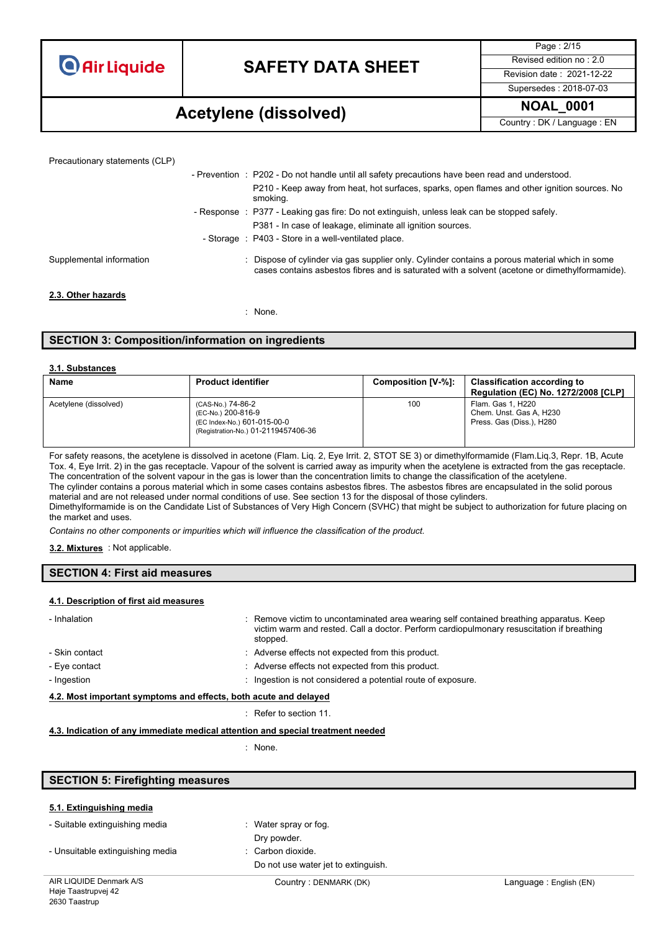### **SAFETY DATA SHEET** Revised edition no : 2.0

Page : 2/15 Supersedes : 2018-07-03

### **NOAL\_0001 Acetylene (dissolved)**

Country : DK / Language : EN

| Precautionary statements (CLP) |                                                                                                                                                                                                |
|--------------------------------|------------------------------------------------------------------------------------------------------------------------------------------------------------------------------------------------|
|                                | - Prevention : P202 - Do not handle until all safety precautions have been read and understood.                                                                                                |
|                                | P210 - Keep away from heat, hot surfaces, sparks, open flames and other ignition sources. No<br>smoking.                                                                                       |
|                                | - Response : P377 - Leaking gas fire: Do not extinguish, unless leak can be stopped safely.                                                                                                    |
|                                | P381 - In case of leakage, eliminate all ignition sources.                                                                                                                                     |
|                                | - Storage : P403 - Store in a well-ventilated place.                                                                                                                                           |
| Supplemental information       | Dispose of cylinder via gas supplier only. Cylinder contains a porous material which in some<br>cases contains asbestos fibres and is saturated with a solvent (acetone or dimethylformamide). |
| 2.3. Other hazards             |                                                                                                                                                                                                |
|                                | : None.                                                                                                                                                                                        |

### **SECTION 3: Composition/information on ingredients**

#### **3.1. Substances**

| <b>Name</b>           | <b>Product identifier</b>                                                                                     | Composition [V-%]: | <b>Classification according to</b><br><b>Regulation (EC) No. 1272/2008 [CLP]</b> |
|-----------------------|---------------------------------------------------------------------------------------------------------------|--------------------|----------------------------------------------------------------------------------|
| Acetylene (dissolved) | (CAS-No.) 74-86-2<br>(EC-No.) 200-816-9<br>(EC Index-No.) 601-015-00-0<br>(Registration-No.) 01-2119457406-36 | 100                | Flam. Gas 1. H220<br>Chem. Unst. Gas A, H230<br>Press. Gas (Diss.), H280         |

For safety reasons, the acetylene is dissolved in acetone (Flam. Liq. 2, Eye Irrit. 2, STOT SE 3) or dimethylformamide (Flam.Liq.3, Repr. 1B, Acute Tox. 4, Eye Irrit. 2) in the gas receptacle. Vapour of the solvent is carried away as impurity when the acetylene is extracted from the gas receptacle. The concentration of the solvent vapour in the gas is lower than the concentration limits to change the classification of the acetylene. The cylinder contains a porous material which in some cases contains asbestos fibres. The asbestos fibres are encapsulated in the solid porous material and are not released under normal conditions of use. See section 13 for the disposal of those cylinders. Dimethylformamide is on the Candidate List of Substances of Very High Concern (SVHC) that might be subject to authorization for future placing on the market and uses.

*Contains no other components or impurities which will influence the classification of the product.*

#### : Not applicable. **3.2. Mixtures**

### **SECTION 4: First aid measures**

#### **4.1. Description of first aid measures**

| - Inhalation                                                     | : Remove victim to uncontaminated area wearing self contained breathing apparatus. Keep<br>victim warm and rested. Call a doctor. Perform cardiopulmonary resuscitation if breathing<br>stopped. |  |
|------------------------------------------------------------------|--------------------------------------------------------------------------------------------------------------------------------------------------------------------------------------------------|--|
| - Skin contact                                                   | : Adverse effects not expected from this product.                                                                                                                                                |  |
| - Eve contact                                                    | : Adverse effects not expected from this product.                                                                                                                                                |  |
| - Ingestion                                                      | : Ingestion is not considered a potential route of exposure.                                                                                                                                     |  |
| 4.2. Most important symptoms and effects, both acute and delayed |                                                                                                                                                                                                  |  |

: Refer to section 11.

#### **4.3. Indication of any immediate medical attention and special treatment needed**

: None.

| <b>SECTION 5: Firefighting measures</b> |                                     |                        |
|-----------------------------------------|-------------------------------------|------------------------|
|                                         |                                     |                        |
| 5.1. Extinguishing media                |                                     |                        |
| - Suitable extinguishing media          | : Water spray or fog.               |                        |
|                                         | Dry powder.                         |                        |
| - Unsuitable extinguishing media        | : Carbon dioxide.                   |                        |
|                                         | Do not use water jet to extinguish. |                        |
| AIR LIQUIDE Denmark A/S                 | Country: DENMARK (DK)               | Language: English (EN) |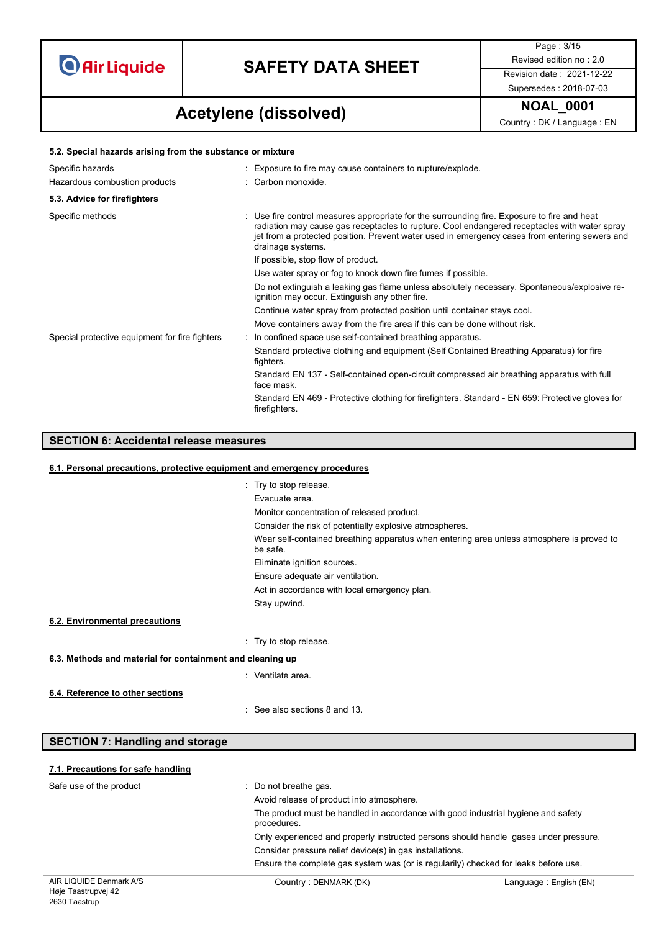

Page : 3/15 Supersedes : 2018-07-03

### **NOAL\_0001 Acetylene (dissolved)**

Country : DK / Language : EN

| 5.2. Special hazards arising from the substance or mixture |  |                                                                                                                                                                                                                                                                                                                   |  |
|------------------------------------------------------------|--|-------------------------------------------------------------------------------------------------------------------------------------------------------------------------------------------------------------------------------------------------------------------------------------------------------------------|--|
| Specific hazards<br>Hazardous combustion products          |  | : Exposure to fire may cause containers to rupture/explode.<br>: Carbon monoxide.                                                                                                                                                                                                                                 |  |
| 5.3. Advice for firefighters                               |  |                                                                                                                                                                                                                                                                                                                   |  |
| Specific methods                                           |  | : Use fire control measures appropriate for the surrounding fire. Exposure to fire and heat<br>radiation may cause gas receptacles to rupture. Cool endangered receptacles with water spray<br>jet from a protected position. Prevent water used in emergency cases from entering sewers and<br>drainage systems. |  |
|                                                            |  | If possible, stop flow of product.                                                                                                                                                                                                                                                                                |  |
|                                                            |  | Use water spray or fog to knock down fire fumes if possible.                                                                                                                                                                                                                                                      |  |
|                                                            |  | Do not extinguish a leaking gas flame unless absolutely necessary. Spontaneous/explosive re-<br>ignition may occur. Extinguish any other fire.                                                                                                                                                                    |  |
|                                                            |  | Continue water spray from protected position until container stays cool.                                                                                                                                                                                                                                          |  |
|                                                            |  | Move containers away from the fire area if this can be done without risk.                                                                                                                                                                                                                                         |  |
| Special protective equipment for fire fighters             |  | : In confined space use self-contained breathing apparatus.                                                                                                                                                                                                                                                       |  |
|                                                            |  | Standard protective clothing and equipment (Self Contained Breathing Apparatus) for fire<br>fighters.                                                                                                                                                                                                             |  |
|                                                            |  | Standard EN 137 - Self-contained open-circuit compressed air breathing apparatus with full<br>face mask.                                                                                                                                                                                                          |  |
|                                                            |  | Standard EN 469 - Protective clothing for firefighters. Standard - EN 659: Protective gloves for<br>firefighters.                                                                                                                                                                                                 |  |

### **SECTION 6: Accidental release measures**

#### **6.1. Personal precautions, protective equipment and emergency procedures**

| : Try to stop release.<br>Evacuate area                                                               |
|-------------------------------------------------------------------------------------------------------|
|                                                                                                       |
| Monitor concentration of released product.                                                            |
| Consider the risk of potentially explosive atmospheres.                                               |
| Wear self-contained breathing apparatus when entering area unless atmosphere is proved to<br>be safe. |
| Eliminate ignition sources.                                                                           |
| Ensure adequate air ventilation.                                                                      |
| Act in accordance with local emergency plan.                                                          |
| Stay upwind.                                                                                          |
|                                                                                                       |
|                                                                                                       |
| Try to stop release.                                                                                  |

### **6.3. Methods and material for containment and cleaning up**

| Ventilate area. |
|-----------------|
|-----------------|

**6.4. Reference to other sections**

**6.2. Environmental precautions**

: See also sections 8 and 13.

| <b>SECTION 7: Handling and storage</b> |  |
|----------------------------------------|--|
|----------------------------------------|--|

#### **7.1. Precautions for safe handling**

| Safe use of the product | : Do not breathe gas.                                                                            |                        |  |
|-------------------------|--------------------------------------------------------------------------------------------------|------------------------|--|
|                         | Avoid release of product into atmosphere.                                                        |                        |  |
|                         | The product must be handled in accordance with good industrial hygiene and safety<br>procedures. |                        |  |
|                         | Only experienced and properly instructed persons should handle gases under pressure.             |                        |  |
|                         | Consider pressure relief device(s) in gas installations.                                         |                        |  |
|                         | Ensure the complete gas system was (or is regularily) checked for leaks before use.              |                        |  |
| AIR LIQUIDE Denmark A/S | Country: DENMARK (DK)                                                                            | Language: English (EN) |  |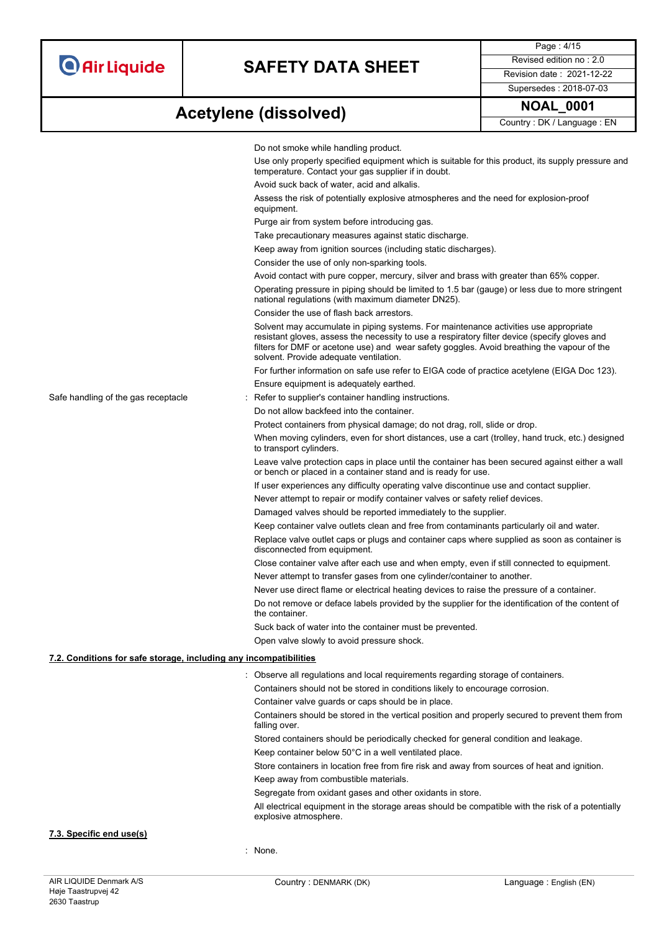Page : 4/15 Supersedes : 2018-07-03

# **NOAL\_0001 Acetylene (dissolved)**

Country : DK / Language : EN

|                                                                   | Do not smoke while handling product.<br>Use only properly specified equipment which is suitable for this product, its supply pressure and                                                                                                                                                                                     |  |  |
|-------------------------------------------------------------------|-------------------------------------------------------------------------------------------------------------------------------------------------------------------------------------------------------------------------------------------------------------------------------------------------------------------------------|--|--|
|                                                                   | temperature. Contact your gas supplier if in doubt.                                                                                                                                                                                                                                                                           |  |  |
|                                                                   | Avoid suck back of water, acid and alkalis.                                                                                                                                                                                                                                                                                   |  |  |
|                                                                   | Assess the risk of potentially explosive atmospheres and the need for explosion-proof<br>equipment.                                                                                                                                                                                                                           |  |  |
|                                                                   | Purge air from system before introducing gas.                                                                                                                                                                                                                                                                                 |  |  |
|                                                                   | Take precautionary measures against static discharge.                                                                                                                                                                                                                                                                         |  |  |
|                                                                   | Keep away from ignition sources (including static discharges).                                                                                                                                                                                                                                                                |  |  |
|                                                                   | Consider the use of only non-sparking tools.                                                                                                                                                                                                                                                                                  |  |  |
|                                                                   | Avoid contact with pure copper, mercury, silver and brass with greater than 65% copper.                                                                                                                                                                                                                                       |  |  |
|                                                                   | Operating pressure in piping should be limited to 1.5 bar (gauge) or less due to more stringent<br>national regulations (with maximum diameter DN25).                                                                                                                                                                         |  |  |
|                                                                   | Consider the use of flash back arrestors.                                                                                                                                                                                                                                                                                     |  |  |
|                                                                   | Solvent may accumulate in piping systems. For maintenance activities use appropriate<br>resistant gloves, assess the necessity to use a respiratory filter device (specify gloves and<br>filters for DMF or acetone use) and wear safety goggles. Avoid breathing the vapour of the<br>solvent. Provide adequate ventilation. |  |  |
|                                                                   | For further information on safe use refer to EIGA code of practice acetylene (EIGA Doc 123).                                                                                                                                                                                                                                  |  |  |
|                                                                   | Ensure equipment is adequately earthed.                                                                                                                                                                                                                                                                                       |  |  |
| Safe handling of the gas receptacle                               | : Refer to supplier's container handling instructions.                                                                                                                                                                                                                                                                        |  |  |
|                                                                   | Do not allow backfeed into the container.                                                                                                                                                                                                                                                                                     |  |  |
|                                                                   | Protect containers from physical damage; do not drag, roll, slide or drop.                                                                                                                                                                                                                                                    |  |  |
|                                                                   | When moving cylinders, even for short distances, use a cart (trolley, hand truck, etc.) designed<br>to transport cylinders.                                                                                                                                                                                                   |  |  |
|                                                                   | Leave valve protection caps in place until the container has been secured against either a wall<br>or bench or placed in a container stand and is ready for use.                                                                                                                                                              |  |  |
|                                                                   | If user experiences any difficulty operating valve discontinue use and contact supplier.                                                                                                                                                                                                                                      |  |  |
|                                                                   | Never attempt to repair or modify container valves or safety relief devices.                                                                                                                                                                                                                                                  |  |  |
|                                                                   | Damaged valves should be reported immediately to the supplier.                                                                                                                                                                                                                                                                |  |  |
|                                                                   | Keep container valve outlets clean and free from contaminants particularly oil and water.                                                                                                                                                                                                                                     |  |  |
|                                                                   | Replace valve outlet caps or plugs and container caps where supplied as soon as container is<br>disconnected from equipment.                                                                                                                                                                                                  |  |  |
|                                                                   | Close container valve after each use and when empty, even if still connected to equipment.                                                                                                                                                                                                                                    |  |  |
|                                                                   | Never attempt to transfer gases from one cylinder/container to another.                                                                                                                                                                                                                                                       |  |  |
|                                                                   | Never use direct flame or electrical heating devices to raise the pressure of a container.                                                                                                                                                                                                                                    |  |  |
|                                                                   | Do not remove or deface labels provided by the supplier for the identification of the content of<br>the container.                                                                                                                                                                                                            |  |  |
|                                                                   | Suck back of water into the container must be prevented.                                                                                                                                                                                                                                                                      |  |  |
|                                                                   | Open valve slowly to avoid pressure shock.                                                                                                                                                                                                                                                                                    |  |  |
| 7.2. Conditions for safe storage, including any incompatibilities |                                                                                                                                                                                                                                                                                                                               |  |  |
|                                                                   | : Observe all regulations and local requirements regarding storage of containers.                                                                                                                                                                                                                                             |  |  |
|                                                                   | Containers should not be stored in conditions likely to encourage corrosion.                                                                                                                                                                                                                                                  |  |  |
|                                                                   | Container valve guards or caps should be in place.                                                                                                                                                                                                                                                                            |  |  |
|                                                                   | Containers should be stored in the vertical position and properly secured to prevent them from                                                                                                                                                                                                                                |  |  |
|                                                                   | falling over.                                                                                                                                                                                                                                                                                                                 |  |  |
|                                                                   | Stored containers should be periodically checked for general condition and leakage.                                                                                                                                                                                                                                           |  |  |
|                                                                   | Keep container below 50°C in a well ventilated place.                                                                                                                                                                                                                                                                         |  |  |
|                                                                   | Store containers in location free from fire risk and away from sources of heat and ignition.                                                                                                                                                                                                                                  |  |  |
|                                                                   | Keep away from combustible materials.                                                                                                                                                                                                                                                                                         |  |  |
|                                                                   | Segregate from oxidant gases and other oxidants in store.                                                                                                                                                                                                                                                                     |  |  |
|                                                                   | All electrical equipment in the storage areas should be compatible with the risk of a potentially<br>explosive atmosphere.                                                                                                                                                                                                    |  |  |
| 7.3. Specific end use(s)                                          |                                                                                                                                                                                                                                                                                                                               |  |  |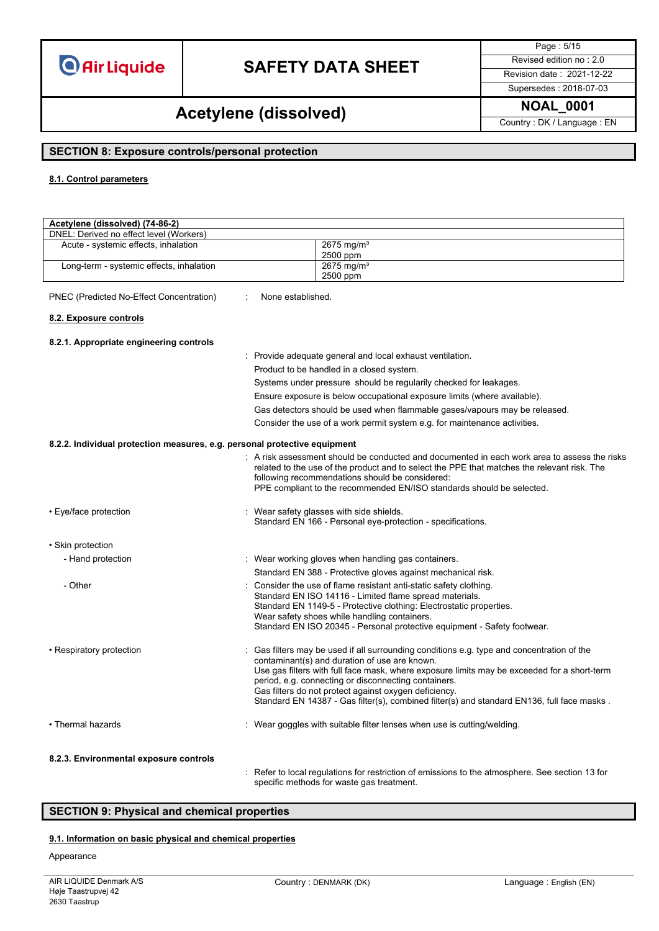# **SAFETY DATA SHEET** Revised edition no : 2.0

Page : 5/15

Supersedes : 2018-07-03

## **NOAL\_0001 Acetylene (dissolved)**

Country : DK / Language : EN

### **SECTION 8: Exposure controls/personal protection**

#### **8.1. Control parameters**

| Acetylene (dissolved) (74-86-2)                                                                                                                                                        |                   |                                                                                                                                                                                                                                                                                                                                                                                                                                                         |  |
|----------------------------------------------------------------------------------------------------------------------------------------------------------------------------------------|-------------------|---------------------------------------------------------------------------------------------------------------------------------------------------------------------------------------------------------------------------------------------------------------------------------------------------------------------------------------------------------------------------------------------------------------------------------------------------------|--|
| DNEL: Derived no effect level (Workers)                                                                                                                                                |                   |                                                                                                                                                                                                                                                                                                                                                                                                                                                         |  |
| Acute - systemic effects, inhalation                                                                                                                                                   |                   | $2675$ mg/m <sup>3</sup>                                                                                                                                                                                                                                                                                                                                                                                                                                |  |
|                                                                                                                                                                                        |                   | 2500 ppm<br>$2675$ mg/m <sup>3</sup>                                                                                                                                                                                                                                                                                                                                                                                                                    |  |
| Long-term - systemic effects, inhalation                                                                                                                                               |                   | 2500 ppm                                                                                                                                                                                                                                                                                                                                                                                                                                                |  |
| PNEC (Predicted No-Effect Concentration)                                                                                                                                               | None established. |                                                                                                                                                                                                                                                                                                                                                                                                                                                         |  |
|                                                                                                                                                                                        |                   |                                                                                                                                                                                                                                                                                                                                                                                                                                                         |  |
| 8.2. Exposure controls                                                                                                                                                                 |                   |                                                                                                                                                                                                                                                                                                                                                                                                                                                         |  |
| 8.2.1. Appropriate engineering controls                                                                                                                                                |                   |                                                                                                                                                                                                                                                                                                                                                                                                                                                         |  |
|                                                                                                                                                                                        |                   | : Provide adequate general and local exhaust ventilation.                                                                                                                                                                                                                                                                                                                                                                                               |  |
|                                                                                                                                                                                        |                   | Product to be handled in a closed system.                                                                                                                                                                                                                                                                                                                                                                                                               |  |
|                                                                                                                                                                                        |                   | Systems under pressure should be regularily checked for leakages.                                                                                                                                                                                                                                                                                                                                                                                       |  |
|                                                                                                                                                                                        |                   | Ensure exposure is below occupational exposure limits (where available).                                                                                                                                                                                                                                                                                                                                                                                |  |
|                                                                                                                                                                                        |                   | Gas detectors should be used when flammable gases/vapours may be released.                                                                                                                                                                                                                                                                                                                                                                              |  |
|                                                                                                                                                                                        |                   | Consider the use of a work permit system e.g. for maintenance activities.                                                                                                                                                                                                                                                                                                                                                                               |  |
|                                                                                                                                                                                        |                   |                                                                                                                                                                                                                                                                                                                                                                                                                                                         |  |
| 8.2.2. Individual protection measures, e.g. personal protective equipment                                                                                                              |                   |                                                                                                                                                                                                                                                                                                                                                                                                                                                         |  |
|                                                                                                                                                                                        |                   | : A risk assessment should be conducted and documented in each work area to assess the risks<br>related to the use of the product and to select the PPE that matches the relevant risk. The<br>following recommendations should be considered:<br>PPE compliant to the recommended EN/ISO standards should be selected.                                                                                                                                 |  |
| • Eye/face protection                                                                                                                                                                  |                   | Wear safety glasses with side shields.<br>Standard EN 166 - Personal eye-protection - specifications.                                                                                                                                                                                                                                                                                                                                                   |  |
| • Skin protection                                                                                                                                                                      |                   |                                                                                                                                                                                                                                                                                                                                                                                                                                                         |  |
| - Hand protection                                                                                                                                                                      |                   | : Wear working gloves when handling gas containers.                                                                                                                                                                                                                                                                                                                                                                                                     |  |
|                                                                                                                                                                                        |                   | Standard EN 388 - Protective gloves against mechanical risk.                                                                                                                                                                                                                                                                                                                                                                                            |  |
| - Other                                                                                                                                                                                |                   | Consider the use of flame resistant anti-static safety clothing.<br>Standard EN ISO 14116 - Limited flame spread materials.<br>Standard EN 1149-5 - Protective clothing: Electrostatic properties.<br>Wear safety shoes while handling containers.<br>Standard EN ISO 20345 - Personal protective equipment - Safety footwear.                                                                                                                          |  |
| • Respiratory protection                                                                                                                                                               |                   | Gas filters may be used if all surrounding conditions e.g. type and concentration of the<br>contaminant(s) and duration of use are known.<br>Use gas filters with full face mask, where exposure limits may be exceeded for a short-term<br>period, e.g. connecting or disconnecting containers.<br>Gas filters do not protect against oxygen deficiency.<br>Standard EN 14387 - Gas filter(s), combined filter(s) and standard EN136, full face masks. |  |
| • Thermal hazards                                                                                                                                                                      |                   | Wear goggles with suitable filter lenses when use is cutting/welding.                                                                                                                                                                                                                                                                                                                                                                                   |  |
| 8.2.3. Environmental exposure controls<br>: Refer to local regulations for restriction of emissions to the atmosphere. See section 13 for<br>specific methods for waste gas treatment. |                   |                                                                                                                                                                                                                                                                                                                                                                                                                                                         |  |

### **SECTION 9: Physical and chemical properties**

### **9.1. Information on basic physical and chemical properties**

#### Appearance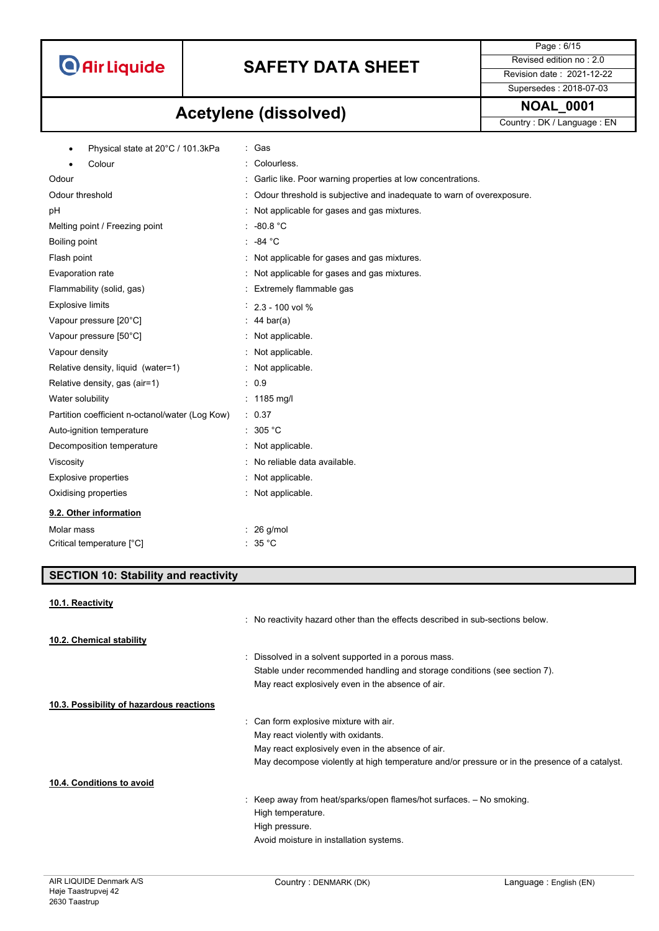

Supersedes : 2018-07-03

Page : 6/15

# **NOAL\_0001 Acetylene (dissolved)**

Country : DK / Language : EN

| Physical state at 20°C / 101.3kPa               | : Gas                                                                 |
|-------------------------------------------------|-----------------------------------------------------------------------|
| Colour                                          | Colourless.                                                           |
| Odour                                           | Garlic like. Poor warning properties at low concentrations.           |
| Odour threshold                                 | Odour threshold is subjective and inadequate to warn of overexposure. |
| pH                                              | Not applicable for gases and gas mixtures.                            |
| Melting point / Freezing point                  | $: 90.8 \text{ °C}$                                                   |
| Boiling point                                   | -84 °C<br>÷.                                                          |
| Flash point                                     | : Not applicable for gases and gas mixtures.                          |
| Evaporation rate                                | Not applicable for gases and gas mixtures.                            |
| Flammability (solid, gas)                       | : Extremely flammable gas                                             |
| <b>Explosive limits</b>                         | $2.3 - 100$ vol %                                                     |
| Vapour pressure [20°C]                          | $: 44 \text{ bar(a)}$                                                 |
| Vapour pressure [50°C]                          | : Not applicable.                                                     |
| Vapour density                                  | Not applicable.                                                       |
| Relative density, liquid (water=1)              | : Not applicable.                                                     |
| Relative density, gas (air=1)                   | : 0.9                                                                 |
| Water solubility                                | : $1185 \text{ mg/l}$                                                 |
| Partition coefficient n-octanol/water (Log Kow) | : 0.37                                                                |
| Auto-ignition temperature                       | 305 °C                                                                |
| Decomposition temperature                       | : Not applicable.                                                     |
| Viscosity                                       | No reliable data available.<br>۰.                                     |
| <b>Explosive properties</b>                     | : Not applicable.                                                     |
| Oxidising properties                            | : Not applicable.                                                     |
| 9.2. Other information                          |                                                                       |
| Molar mass                                      | $: 26$ g/mol                                                          |
| Critical temperature [°C]                       | : $35^{\circ}$ C                                                      |
|                                                 |                                                                       |

### **SECTION 10: Stability and reactivity**

| 10.1. Reactivity                         |                                                                                               |
|------------------------------------------|-----------------------------------------------------------------------------------------------|
|                                          | : No reactivity hazard other than the effects described in sub-sections below.                |
| 10.2. Chemical stability                 |                                                                                               |
|                                          | : Dissolved in a solvent supported in a porous mass.                                          |
|                                          | Stable under recommended handling and storage conditions (see section 7).                     |
|                                          | May react explosively even in the absence of air.                                             |
| 10.3. Possibility of hazardous reactions |                                                                                               |
|                                          | : Can form explosive mixture with air.                                                        |
|                                          | May react violently with oxidants.                                                            |
|                                          | May react explosively even in the absence of air.                                             |
|                                          | May decompose violently at high temperature and/or pressure or in the presence of a catalyst. |
| 10.4. Conditions to avoid                |                                                                                               |
|                                          | : Keep away from heat/sparks/open flames/hot surfaces. $-$ No smoking.                        |
|                                          | High temperature.                                                                             |
|                                          | High pressure.                                                                                |
|                                          | Avoid moisture in installation systems.                                                       |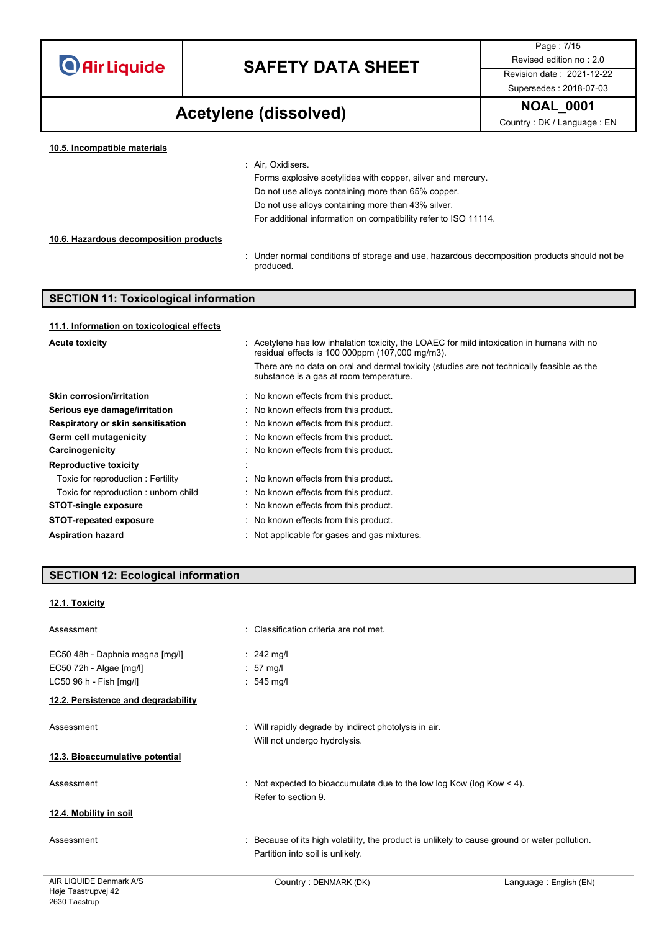# **SAFETY DATA SHEET** Revised edition no : 2.0

Supersedes : 2018-07-03

Page : 7/15

**NOAL\_0001 Acetylene (dissolved)**

| Country: DK / Language: EN |  |
|----------------------------|--|
|----------------------------|--|

| 10.5. Incompatible materials           |                                                                                                           |
|----------------------------------------|-----------------------------------------------------------------------------------------------------------|
|                                        | : Air. Oxidisers.                                                                                         |
|                                        | Forms explosive acetylides with copper, silver and mercury.                                               |
|                                        | Do not use alloys containing more than 65% copper.                                                        |
|                                        | Do not use alloys containing more than 43% silver.                                                        |
|                                        | For additional information on compatibility refer to ISO 11114.                                           |
| 10.6. Hazardous decomposition products |                                                                                                           |
|                                        | : Under normal conditions of storage and use, hazardous decomposition products should not be<br>produced. |

### **SECTION 11: Toxicological information**

#### **11.1. Information on toxicological effects**

| <b>Acute toxicity</b>                | : Acetylene has low inhalation toxicity, the LOAEC for mild intoxication in humans with no<br>residual effects is 100 000ppm (107,000 mg/m3). |  |  |
|--------------------------------------|-----------------------------------------------------------------------------------------------------------------------------------------------|--|--|
|                                      | There are no data on oral and dermal toxicity (studies are not technically feasible as the<br>substance is a gas at room temperature.         |  |  |
| <b>Skin corrosion/irritation</b>     | : No known effects from this product.                                                                                                         |  |  |
| Serious eye damage/irritation        | : No known effects from this product.                                                                                                         |  |  |
| Respiratory or skin sensitisation    | : No known effects from this product.                                                                                                         |  |  |
| Germ cell mutagenicity               | : No known effects from this product.                                                                                                         |  |  |
| Carcinogenicity                      | : No known effects from this product.                                                                                                         |  |  |
| <b>Reproductive toxicity</b>         |                                                                                                                                               |  |  |
| Toxic for reproduction : Fertility   | : No known effects from this product.                                                                                                         |  |  |
| Toxic for reproduction: unborn child | : No known effects from this product.                                                                                                         |  |  |
| <b>STOT-single exposure</b>          | : No known effects from this product.                                                                                                         |  |  |
| <b>STOT-repeated exposure</b>        | : No known effects from this product.                                                                                                         |  |  |
| <b>Aspiration hazard</b>             | Not applicable for gases and gas mixtures.                                                                                                    |  |  |

### **SECTION 12: Ecological information**

### **12.1. Toxicity**

| AIR LIQUIDE Denmark A/S             | Country: DENMARK (DK)                                                                                                             | Language: English (EN) |
|-------------------------------------|-----------------------------------------------------------------------------------------------------------------------------------|------------------------|
| Assessment                          | : Because of its high volatility, the product is unlikely to cause ground or water pollution.<br>Partition into soil is unlikely. |                        |
| 12.4. Mobility in soil              |                                                                                                                                   |                        |
| Assessment                          | : Not expected to bioaccumulate due to the low log Kow (log Kow $\leq 4$ ).<br>Refer to section 9.                                |                        |
| 12.3. Bioaccumulative potential     |                                                                                                                                   |                        |
| Assessment                          | : Will rapidly degrade by indirect photolysis in air.<br>Will not undergo hydrolysis.                                             |                        |
| 12.2. Persistence and degradability |                                                                                                                                   |                        |
| LC50 96 h - Fish [mg/l]             | $: 545$ mg/l                                                                                                                      |                        |
| EC50 72h - Algae [mg/l]             | $: 57$ mg/l                                                                                                                       |                        |
| EC50 48h - Daphnia magna [mg/l]     | $\therefore$ 242 mg/l                                                                                                             |                        |
| Assessment                          | : Classification criteria are not met.                                                                                            |                        |
|                                     |                                                                                                                                   |                        |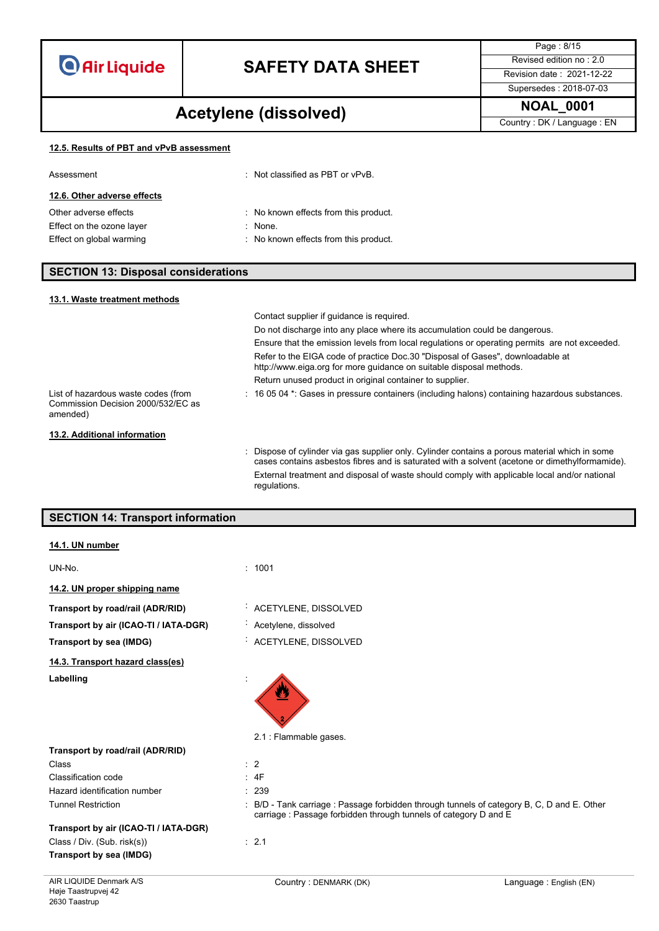# **SAFETY DATA SHEET** Revised edition no : 2.0

Page : 8/15 Supersedes : 2018-07-03

## **NOAL\_0001 Acetylene (dissolved)**

Country : DK / Language : EN

#### **12.5. Results of PBT and vPvB assessment**

| Assessment                  | $\therefore$ Not classified as PBT or vPvB. |
|-----------------------------|---------------------------------------------|
| 12.6. Other adverse effects |                                             |
| Other adverse effects       | : No known effects from this product.       |
| Effect on the ozone layer   | $\therefore$ None.                          |
| Effect on global warming    | : No known effects from this product.       |

### **SECTION 13: Disposal considerations**

| 13.1. Waste treatment methods                                                         |                                                                                                                                                                                                  |
|---------------------------------------------------------------------------------------|--------------------------------------------------------------------------------------------------------------------------------------------------------------------------------------------------|
|                                                                                       | Contact supplier if quidance is required.                                                                                                                                                        |
|                                                                                       | Do not discharge into any place where its accumulation could be dangerous.                                                                                                                       |
|                                                                                       | Ensure that the emission levels from local regulations or operating permits are not exceeded.                                                                                                    |
|                                                                                       | Refer to the EIGA code of practice Doc.30 "Disposal of Gases", downloadable at<br>http://www.eiga.org for more guidance on suitable disposal methods.                                            |
|                                                                                       | Return unused product in original container to supplier.                                                                                                                                         |
| List of hazardous waste codes (from<br>Commission Decision 2000/532/EC as<br>amended) | $\therefore$ 16 05 04 $^*$ : Gases in pressure containers (including halons) containing hazardous substances.                                                                                    |
| 13.2. Additional information                                                          |                                                                                                                                                                                                  |
|                                                                                       | : Dispose of cylinder via gas supplier only. Cylinder contains a porous material which in some<br>cases contains asbestos fibres and is saturated with a solvent (acetone or dimethylformamide). |
|                                                                                       | External treatment and disposal of waste should comply with applicable local and/or national<br>regulations.                                                                                     |

### **SECTION 14: Transport information**

| 14.1. UN number                       |                                                                                                                                                               |
|---------------------------------------|---------------------------------------------------------------------------------------------------------------------------------------------------------------|
| UN-No.                                | : 1001                                                                                                                                                        |
| 14.2. UN proper shipping name         |                                                                                                                                                               |
| Transport by road/rail (ADR/RID)      | ACETYLENE, DISSOLVED                                                                                                                                          |
| Transport by air (ICAO-TI / IATA-DGR) | Acetylene, dissolved                                                                                                                                          |
| Transport by sea (IMDG)               | ACETYLENE, DISSOLVED                                                                                                                                          |
| 14.3. Transport hazard class(es)      |                                                                                                                                                               |
| Labelling                             | 2.1 : Flammable gases.                                                                                                                                        |
| Transport by road/rail (ADR/RID)      |                                                                                                                                                               |
| Class                                 | $\therefore$ 2                                                                                                                                                |
| Classification code                   | : 4F                                                                                                                                                          |
| Hazard identification number          | : 239                                                                                                                                                         |
| <b>Tunnel Restriction</b>             | : B/D - Tank carriage : Passage forbidden through tunnels of category B, C, D and E. Other<br>carriage: Passage forbidden through tunnels of category D and E |
| Transport by air (ICAO-TI / IATA-DGR) |                                                                                                                                                               |
| Class / Div. (Sub. risk(s))           | : 2.1                                                                                                                                                         |
| Transport by sea (IMDG)               |                                                                                                                                                               |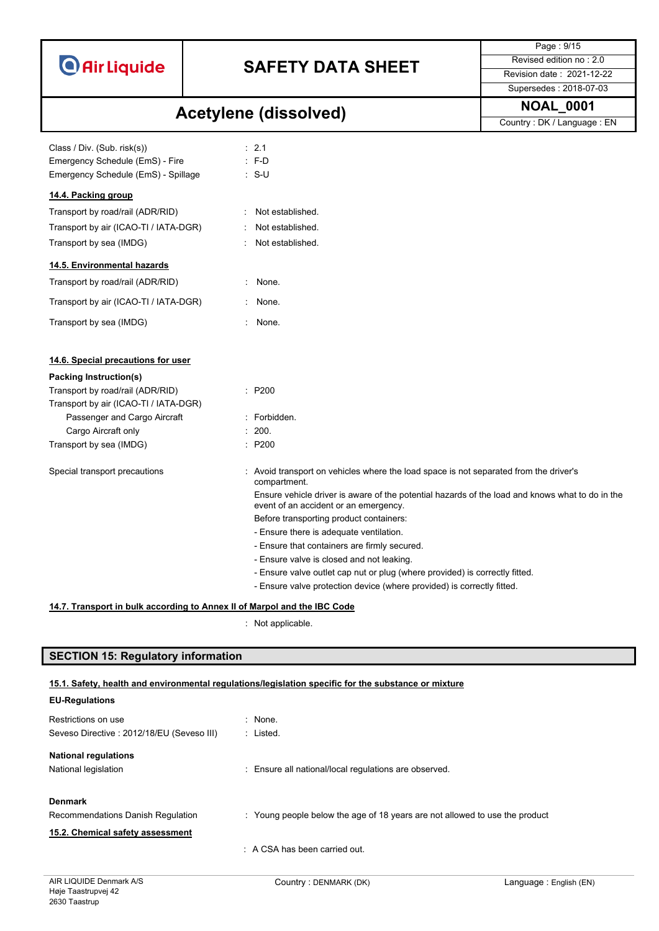| <b>O</b> Air Liquide |  |  |
|----------------------|--|--|
|                      |  |  |

Page : 9/15 Supersedes : 2018-07-03

# **NOAL\_0001 Acetylene (dissolved)**

Country : DK / Language : EN

| Class / Div. (Sub. risk(s))<br>Emergency Schedule (EmS) - Fire<br>Emergency Schedule (EmS) - Spillage |             | : 2.1<br>$: F-D$<br>$\therefore$ S-U                                                                                                     |
|-------------------------------------------------------------------------------------------------------|-------------|------------------------------------------------------------------------------------------------------------------------------------------|
| 14.4. Packing group                                                                                   |             |                                                                                                                                          |
| Transport by road/rail (ADR/RID)                                                                      |             | Not established.                                                                                                                         |
| Transport by air (ICAO-TI / IATA-DGR)                                                                 |             | Not established.                                                                                                                         |
| Transport by sea (IMDG)                                                                               |             | Not established.                                                                                                                         |
| 14.5. Environmental hazards                                                                           |             |                                                                                                                                          |
| Transport by road/rail (ADR/RID)                                                                      | ÷.          | None.                                                                                                                                    |
| Transport by air (ICAO-TI / IATA-DGR)                                                                 |             | None.                                                                                                                                    |
| Transport by sea (IMDG)                                                                               | $\bullet$ . | None.                                                                                                                                    |
| 14.6. Special precautions for user                                                                    |             |                                                                                                                                          |
| <b>Packing Instruction(s)</b>                                                                         |             |                                                                                                                                          |
| Transport by road/rail (ADR/RID)                                                                      |             | : P200                                                                                                                                   |
| Transport by air (ICAO-TI / IATA-DGR)                                                                 |             |                                                                                                                                          |
| Passenger and Cargo Aircraft                                                                          |             | : Forbidden.                                                                                                                             |
| Cargo Aircraft only                                                                                   |             | $\therefore$ 200.                                                                                                                        |
| Transport by sea (IMDG)                                                                               |             | : P200                                                                                                                                   |
| Special transport precautions                                                                         |             | : Avoid transport on vehicles where the load space is not separated from the driver's<br>compartment.                                    |
|                                                                                                       |             | Ensure vehicle driver is aware of the potential hazards of the load and knows what to do in the<br>event of an accident or an emergency. |
|                                                                                                       |             | Before transporting product containers:                                                                                                  |
|                                                                                                       |             | - Ensure there is adequate ventilation.                                                                                                  |
|                                                                                                       |             | - Ensure that containers are firmly secured.                                                                                             |
|                                                                                                       |             | - Ensure valve is closed and not leaking.                                                                                                |
|                                                                                                       |             | - Ensure valve outlet cap nut or plug (where provided) is correctly fitted.                                                              |
|                                                                                                       |             | - Ensure valve protection device (where provided) is correctly fitted.                                                                   |
| 14.7. Transport in bulk according to Annex II of Marpol and the IBC Code                              |             |                                                                                                                                          |

: Not applicable.

### **SECTION 15: Regulatory information**

### **15.1. Safety, health and environmental regulations/legislation specific for the substance or mixture**

| <b>EU-Regulations</b>                     |                                                                             |
|-------------------------------------------|-----------------------------------------------------------------------------|
| Restrictions on use                       | : None.                                                                     |
| Seveso Directive: 2012/18/EU (Seveso III) | : Listed.                                                                   |
| <b>National regulations</b>               |                                                                             |
| National legislation                      | : Ensure all national/local regulations are observed.                       |
| <b>Denmark</b>                            |                                                                             |
| Recommendations Danish Regulation         | : Young people below the age of 18 years are not allowed to use the product |
| 15.2. Chemical safety assessment          |                                                                             |
|                                           | $\therefore$ A CSA has been carried out.                                    |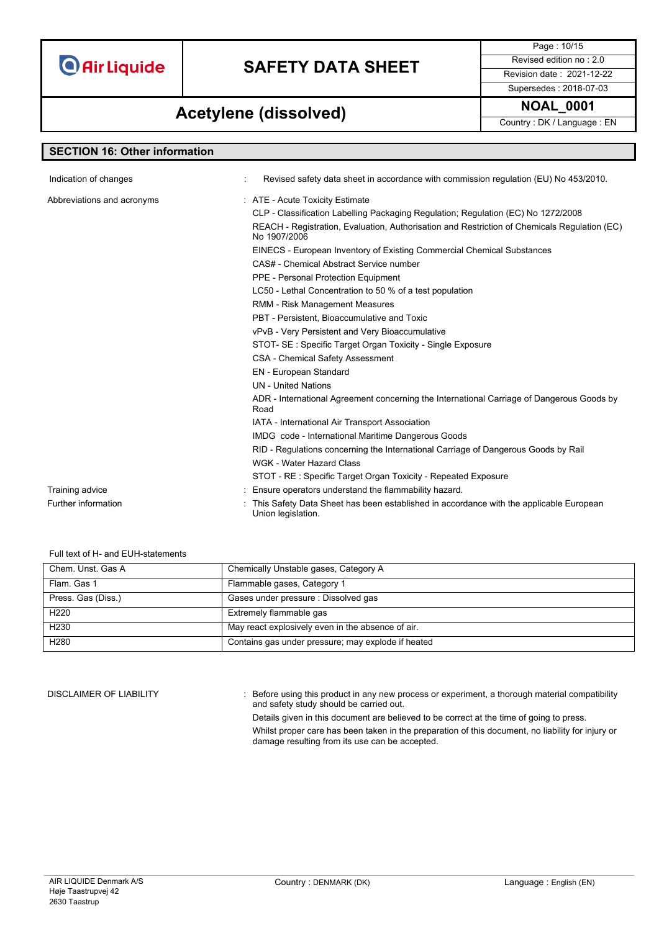# **SAFETY DATA SHEET** Revised edition no : 2.0

Page : 10/15

Supersedes : 2018-07-03

### **NOAL\_0001 Acetylene (dissolved)**

Country : DK / Language : EN

| <b>SECTION 16: Other information</b> |                                                                                                              |  |  |  |
|--------------------------------------|--------------------------------------------------------------------------------------------------------------|--|--|--|
| Indication of changes                | Revised safety data sheet in accordance with commission regulation (EU) No 453/2010.                         |  |  |  |
|                                      |                                                                                                              |  |  |  |
| Abbreviations and acronyms           | : ATE - Acute Toxicity Estimate                                                                              |  |  |  |
|                                      | CLP - Classification Labelling Packaging Regulation; Regulation (EC) No 1272/2008                            |  |  |  |
|                                      | REACH - Registration, Evaluation, Authorisation and Restriction of Chemicals Regulation (EC)<br>No 1907/2006 |  |  |  |
|                                      | EINECS - European Inventory of Existing Commercial Chemical Substances                                       |  |  |  |
|                                      | CAS# - Chemical Abstract Service number                                                                      |  |  |  |
|                                      | PPE - Personal Protection Equipment                                                                          |  |  |  |
|                                      | LC50 - Lethal Concentration to 50 % of a test population                                                     |  |  |  |
|                                      | RMM - Risk Management Measures                                                                               |  |  |  |
|                                      | PBT - Persistent, Bioaccumulative and Toxic                                                                  |  |  |  |
|                                      | vPvB - Very Persistent and Very Bioaccumulative                                                              |  |  |  |
|                                      | STOT- SE: Specific Target Organ Toxicity - Single Exposure                                                   |  |  |  |
|                                      | <b>CSA - Chemical Safety Assessment</b>                                                                      |  |  |  |
|                                      | <b>EN</b> - European Standard                                                                                |  |  |  |
|                                      | <b>UN</b> - United Nations                                                                                   |  |  |  |
|                                      | ADR - International Agreement concerning the International Carriage of Dangerous Goods by<br>Road            |  |  |  |
|                                      | IATA - International Air Transport Association                                                               |  |  |  |
|                                      | IMDG code - International Maritime Dangerous Goods                                                           |  |  |  |
|                                      | RID - Regulations concerning the International Carriage of Dangerous Goods by Rail                           |  |  |  |
|                                      | <b>WGK - Water Hazard Class</b>                                                                              |  |  |  |
|                                      | STOT - RE: Specific Target Organ Toxicity - Repeated Exposure                                                |  |  |  |
| Training advice                      | Ensure operators understand the flammability hazard.                                                         |  |  |  |
| Further information                  | This Safety Data Sheet has been established in accordance with the applicable European<br>Union legislation. |  |  |  |

#### Full text of H- and EUH-statements

| Chem. Unst. Gas A  | Chemically Unstable gases, Category A              |  |  |
|--------------------|----------------------------------------------------|--|--|
| Flam, Gas 1        | Flammable gases, Category 1                        |  |  |
| Press. Gas (Diss.) | Gases under pressure : Dissolved gas               |  |  |
| H <sub>220</sub>   | Extremely flammable gas                            |  |  |
| H <sub>230</sub>   | May react explosively even in the absence of air.  |  |  |
| H <sub>280</sub>   | Contains gas under pressure; may explode if heated |  |  |

DISCLAIMER OF LIABILITY : Before using this product in any new process or experiment, a thorough material compatibility and safety study should be carried out.

Details given in this document are believed to be correct at the time of going to press.

Whilst proper care has been taken in the preparation of this document, no liability for injury or damage resulting from its use can be accepted.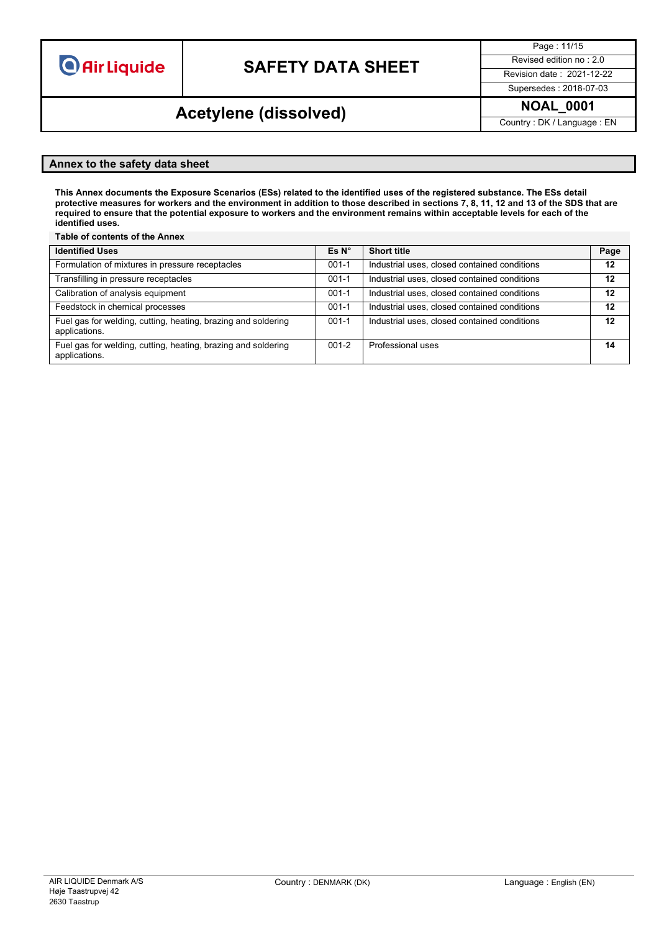# **SAFETY DATA SHEET** Revised edition no : 2.0

Page : 11/15

Supersedes : 2018-07-03

### **NOAL\_0001 Acetylene (dissolved)**

Country : DK / Language : EN

### **Annex to the safety data sheet**

This Annex documents the Exposure Scenarios (ESs) related to the identified uses of the registered substance. The ESs detail protective measures for workers and the environment in addition to those described in sections 7, 8, 11, 12 and 13 of the SDS that are required to ensure that the potential exposure to workers and the environment remains within acceptable levels for each of the **identified uses.**

#### **Table of contents of the Annex**

| <b>Identified Uses</b>                                                         | Es N <sup>o</sup> | <b>Short title</b>                           | Page |
|--------------------------------------------------------------------------------|-------------------|----------------------------------------------|------|
| Formulation of mixtures in pressure receptacles                                | $001 - 1$         | Industrial uses, closed contained conditions | 12   |
| Transfilling in pressure receptacles                                           | $001 - 1$         | Industrial uses, closed contained conditions | 12   |
| Calibration of analysis equipment                                              | $001 - 1$         | Industrial uses, closed contained conditions | 12   |
| Feedstock in chemical processes                                                | $001 - 1$         | Industrial uses, closed contained conditions | 12   |
| Fuel gas for welding, cutting, heating, brazing and soldering<br>applications. | $001 - 1$         | Industrial uses, closed contained conditions | 12   |
| Fuel gas for welding, cutting, heating, brazing and soldering<br>applications. | $001 - 2$         | Professional uses                            | 14   |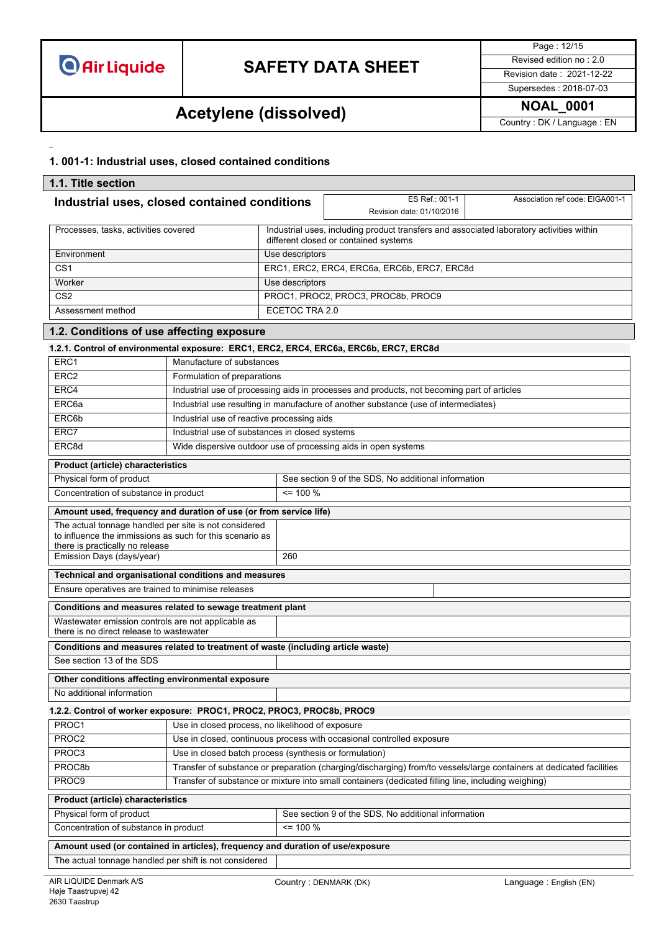

Page : 12/15 Supersedes : 2018-07-03

# **NOAL\_0001 Acetylene (dissolved)**

Country : DK / Language : EN

### **1. 001-1: Industrial uses, closed contained conditions**

| 1.1. Title section                                                                                                                                   |                                                                                                     |                 |                                                                                                                                   |                                                                                                                      |  |  |
|------------------------------------------------------------------------------------------------------------------------------------------------------|-----------------------------------------------------------------------------------------------------|-----------------|-----------------------------------------------------------------------------------------------------------------------------------|----------------------------------------------------------------------------------------------------------------------|--|--|
| Industrial uses, closed contained conditions                                                                                                         |                                                                                                     |                 | ES Ref.: 001-1<br>Revision date: 01/10/2016                                                                                       | Association ref code: EIGA001-1                                                                                      |  |  |
| Processes, tasks, activities covered                                                                                                                 |                                                                                                     |                 | Industrial uses, including product transfers and associated laboratory activities within<br>different closed or contained systems |                                                                                                                      |  |  |
| Environment                                                                                                                                          |                                                                                                     | Use descriptors |                                                                                                                                   |                                                                                                                      |  |  |
| CS <sub>1</sub>                                                                                                                                      |                                                                                                     |                 | ERC1, ERC2, ERC4, ERC6a, ERC6b, ERC7, ERC8d                                                                                       |                                                                                                                      |  |  |
| Worker                                                                                                                                               |                                                                                                     | Use descriptors |                                                                                                                                   |                                                                                                                      |  |  |
| CS <sub>2</sub>                                                                                                                                      |                                                                                                     |                 | PROC1, PROC2, PROC3, PROC8b, PROC9                                                                                                |                                                                                                                      |  |  |
| Assessment method                                                                                                                                    |                                                                                                     | ECETOC TRA 2.0  |                                                                                                                                   |                                                                                                                      |  |  |
| 1.2. Conditions of use affecting exposure                                                                                                            |                                                                                                     |                 |                                                                                                                                   |                                                                                                                      |  |  |
| 1.2.1. Control of environmental exposure: ERC1, ERC2, ERC4, ERC6a, ERC6b, ERC7, ERC8d                                                                |                                                                                                     |                 |                                                                                                                                   |                                                                                                                      |  |  |
| ERC1                                                                                                                                                 | Manufacture of substances                                                                           |                 |                                                                                                                                   |                                                                                                                      |  |  |
| ERC <sub>2</sub>                                                                                                                                     | Formulation of preparations                                                                         |                 |                                                                                                                                   |                                                                                                                      |  |  |
| ERC4                                                                                                                                                 |                                                                                                     |                 | Industrial use of processing aids in processes and products, not becoming part of articles                                        |                                                                                                                      |  |  |
| ERC6a                                                                                                                                                |                                                                                                     |                 | Industrial use resulting in manufacture of another substance (use of intermediates)                                               |                                                                                                                      |  |  |
| ERC6b                                                                                                                                                | Industrial use of reactive processing aids                                                          |                 |                                                                                                                                   |                                                                                                                      |  |  |
| ERC7                                                                                                                                                 | Industrial use of substances in closed systems                                                      |                 |                                                                                                                                   |                                                                                                                      |  |  |
| ERC8d                                                                                                                                                |                                                                                                     |                 | Wide dispersive outdoor use of processing aids in open systems                                                                    |                                                                                                                      |  |  |
| Product (article) characteristics                                                                                                                    |                                                                                                     |                 |                                                                                                                                   |                                                                                                                      |  |  |
| Physical form of product                                                                                                                             |                                                                                                     |                 | See section 9 of the SDS, No additional information                                                                               |                                                                                                                      |  |  |
| Concentration of substance in product                                                                                                                |                                                                                                     | $= 100 %$       |                                                                                                                                   |                                                                                                                      |  |  |
| Amount used, frequency and duration of use (or from service life)                                                                                    |                                                                                                     |                 |                                                                                                                                   |                                                                                                                      |  |  |
| The actual tonnage handled per site is not considered<br>to influence the immissions as such for this scenario as<br>there is practically no release |                                                                                                     |                 |                                                                                                                                   |                                                                                                                      |  |  |
| 260<br>Emission Days (days/year)                                                                                                                     |                                                                                                     |                 |                                                                                                                                   |                                                                                                                      |  |  |
| Technical and organisational conditions and measures                                                                                                 |                                                                                                     |                 |                                                                                                                                   |                                                                                                                      |  |  |
| Ensure operatives are trained to minimise releases                                                                                                   |                                                                                                     |                 |                                                                                                                                   |                                                                                                                      |  |  |
| Conditions and measures related to sewage treatment plant                                                                                            |                                                                                                     |                 |                                                                                                                                   |                                                                                                                      |  |  |
| Wastewater emission controls are not applicable as<br>there is no direct release to wastewater                                                       |                                                                                                     |                 |                                                                                                                                   |                                                                                                                      |  |  |
| Conditions and measures related to treatment of waste (including article waste)                                                                      |                                                                                                     |                 |                                                                                                                                   |                                                                                                                      |  |  |
| See section 13 of the SDS                                                                                                                            |                                                                                                     |                 |                                                                                                                                   |                                                                                                                      |  |  |
| Other conditions affecting environmental exposure                                                                                                    |                                                                                                     |                 |                                                                                                                                   |                                                                                                                      |  |  |
| No additional information                                                                                                                            |                                                                                                     |                 |                                                                                                                                   |                                                                                                                      |  |  |
| 1.2.2. Control of worker exposure: PROC1, PROC2, PROC3, PROC8b, PROC9                                                                                |                                                                                                     |                 |                                                                                                                                   |                                                                                                                      |  |  |
| Use in closed process, no likelihood of exposure<br>PROC1                                                                                            |                                                                                                     |                 |                                                                                                                                   |                                                                                                                      |  |  |
| PROC2                                                                                                                                                | Use in closed, continuous process with occasional controlled exposure                               |                 |                                                                                                                                   |                                                                                                                      |  |  |
| PROC3                                                                                                                                                | Use in closed batch process (synthesis or formulation)                                              |                 |                                                                                                                                   |                                                                                                                      |  |  |
| PROC8b                                                                                                                                               |                                                                                                     |                 |                                                                                                                                   | Transfer of substance or preparation (charging/discharging) from/to vessels/large containers at dedicated facilities |  |  |
| PROC9                                                                                                                                                | Transfer of substance or mixture into small containers (dedicated filling line, including weighing) |                 |                                                                                                                                   |                                                                                                                      |  |  |
| Product (article) characteristics                                                                                                                    |                                                                                                     |                 |                                                                                                                                   |                                                                                                                      |  |  |
| Physical form of product                                                                                                                             |                                                                                                     |                 | See section 9 of the SDS, No additional information                                                                               |                                                                                                                      |  |  |
| Concentration of substance in product                                                                                                                |                                                                                                     | $= 100 %$       |                                                                                                                                   |                                                                                                                      |  |  |
| Amount used (or contained in articles), frequency and duration of use/exposure                                                                       |                                                                                                     |                 |                                                                                                                                   |                                                                                                                      |  |  |
| The actual tonnage handled per shift is not considered                                                                                               |                                                                                                     |                 |                                                                                                                                   |                                                                                                                      |  |  |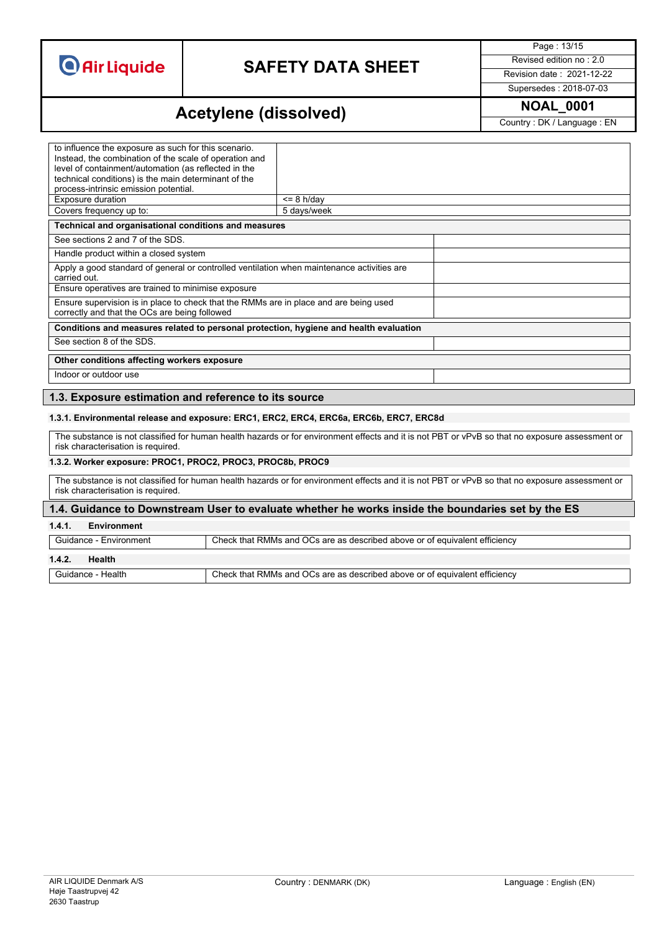# **SAFETY DATA SHEET** Revised edition no : 2.0

Page : 13/15

Supersedes : 2018-07-03

### **NOAL\_0001 Acetylene (dissolved)**

Country : DK / Language : EN

| to influence the exposure as such for this scenario.<br>Instead, the combination of the scale of operation and<br>level of containment/automation (as reflected in the<br>technical conditions) is the main determinant of the |             |  |  |
|--------------------------------------------------------------------------------------------------------------------------------------------------------------------------------------------------------------------------------|-------------|--|--|
| process-intrinsic emission potential.                                                                                                                                                                                          |             |  |  |
| Exposure duration                                                                                                                                                                                                              | $= 8 h/day$ |  |  |
| Covers frequency up to:                                                                                                                                                                                                        | 5 days/week |  |  |
| Technical and organisational conditions and measures                                                                                                                                                                           |             |  |  |
| See sections 2 and 7 of the SDS.                                                                                                                                                                                               |             |  |  |
| Handle product within a closed system                                                                                                                                                                                          |             |  |  |
| Apply a good standard of general or controlled ventilation when maintenance activities are<br>carried out.                                                                                                                     |             |  |  |
| Ensure operatives are trained to minimise exposure                                                                                                                                                                             |             |  |  |
| Ensure supervision is in place to check that the RMMs are in place and are being used<br>correctly and that the OCs are being followed                                                                                         |             |  |  |
| Conditions and measures related to personal protection, hygiene and health evaluation                                                                                                                                          |             |  |  |
| See section 8 of the SDS.                                                                                                                                                                                                      |             |  |  |
| Other conditions affecting workers exposure                                                                                                                                                                                    |             |  |  |
| Indoor or outdoor use                                                                                                                                                                                                          |             |  |  |
|                                                                                                                                                                                                                                |             |  |  |

### **1.3. Exposure estimation and reference to its source**

#### **1.3.1. Environmental release and exposure: ERC1, ERC2, ERC4, ERC6a, ERC6b, ERC7, ERC8d**

The substance is not classified for human health hazards or for environment effects and it is not PBT or vPvB so that no exposure assessment or risk characterisation is required.

#### **1.3.2. Worker exposure: PROC1, PROC2, PROC3, PROC8b, PROC9**

The substance is not classified for human health hazards or for environment effects and it is not PBT or vPvB so that no exposure assessment or risk characterisation is required.

#### **1.4. Guidance to Downstream User to evaluate whether he works inside the boundaries set by the ES**

### **1.4.1. Environment**

Guidance - Environment Check that RMMs and OCs are as described above or of equivalent efficiency

#### **1.4.2. Health**

Guidance - Health Check that RMMs and OCs are as described above or of equivalent efficiency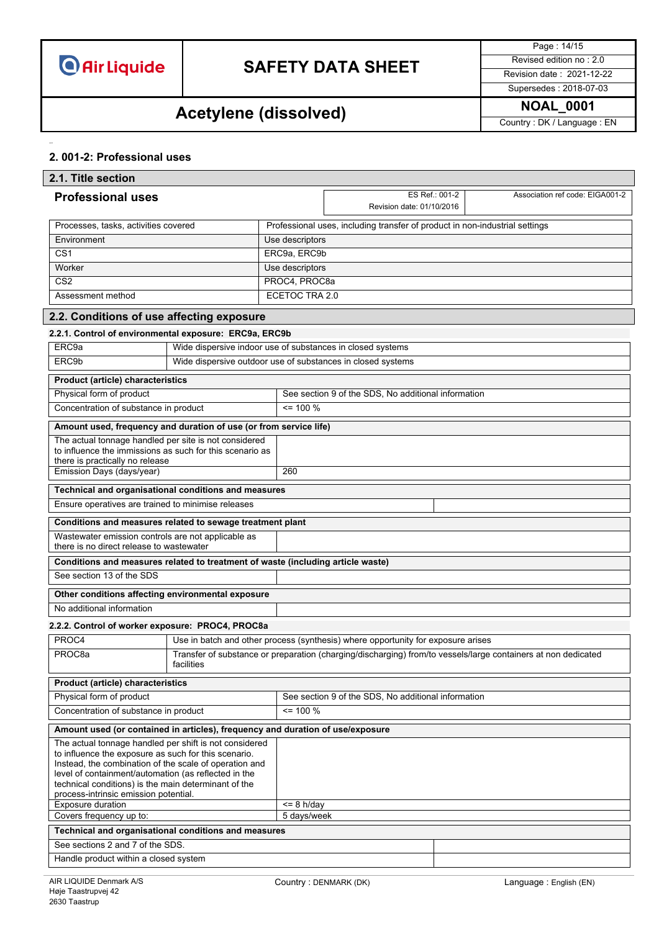# **SAFETY DATA SHEET** Revised edition no : 2.0

Page : 14/15 Supersedes : 2018-07-03

# **NOAL\_0001 Acetylene (dissolved)**

Country : DK / Language : EN

### **2. 001-2: Professional uses**

| 2.1. Title section                                                                                                                                                                                                                                                                                                                |                                                                                |                 |                                                                                                               |  |                                 |  |
|-----------------------------------------------------------------------------------------------------------------------------------------------------------------------------------------------------------------------------------------------------------------------------------------------------------------------------------|--------------------------------------------------------------------------------|-----------------|---------------------------------------------------------------------------------------------------------------|--|---------------------------------|--|
| <b>Professional uses</b>                                                                                                                                                                                                                                                                                                          |                                                                                |                 | ES Ref.: 001-2<br>Revision date: 01/10/2016                                                                   |  | Association ref code: EIGA001-2 |  |
| Processes, tasks, activities covered                                                                                                                                                                                                                                                                                              |                                                                                |                 | Professional uses, including transfer of product in non-industrial settings                                   |  |                                 |  |
| Environment                                                                                                                                                                                                                                                                                                                       |                                                                                | Use descriptors |                                                                                                               |  |                                 |  |
| $\overline{CS1}$                                                                                                                                                                                                                                                                                                                  |                                                                                | ERC9a, ERC9b    |                                                                                                               |  |                                 |  |
| Worker                                                                                                                                                                                                                                                                                                                            |                                                                                | Use descriptors |                                                                                                               |  |                                 |  |
| CS <sub>2</sub>                                                                                                                                                                                                                                                                                                                   | PROC4, PROC8a                                                                  |                 |                                                                                                               |  |                                 |  |
| Assessment method                                                                                                                                                                                                                                                                                                                 |                                                                                | ECETOC TRA 2.0  |                                                                                                               |  |                                 |  |
| 2.2. Conditions of use affecting exposure                                                                                                                                                                                                                                                                                         |                                                                                |                 |                                                                                                               |  |                                 |  |
| 2.2.1. Control of environmental exposure: ERC9a, ERC9b                                                                                                                                                                                                                                                                            |                                                                                |                 |                                                                                                               |  |                                 |  |
| ERC9a                                                                                                                                                                                                                                                                                                                             | Wide dispersive indoor use of substances in closed systems                     |                 |                                                                                                               |  |                                 |  |
| ERC9b                                                                                                                                                                                                                                                                                                                             | Wide dispersive outdoor use of substances in closed systems                    |                 |                                                                                                               |  |                                 |  |
| Product (article) characteristics                                                                                                                                                                                                                                                                                                 |                                                                                |                 |                                                                                                               |  |                                 |  |
| Physical form of product                                                                                                                                                                                                                                                                                                          |                                                                                |                 | See section 9 of the SDS, No additional information                                                           |  |                                 |  |
| Concentration of substance in product                                                                                                                                                                                                                                                                                             |                                                                                | $= 100 \%$      |                                                                                                               |  |                                 |  |
| Amount used, frequency and duration of use (or from service life)                                                                                                                                                                                                                                                                 |                                                                                |                 |                                                                                                               |  |                                 |  |
| The actual tonnage handled per site is not considered<br>to influence the immissions as such for this scenario as<br>there is practically no release                                                                                                                                                                              |                                                                                | 260             |                                                                                                               |  |                                 |  |
| Emission Days (days/year)                                                                                                                                                                                                                                                                                                         |                                                                                |                 |                                                                                                               |  |                                 |  |
| Technical and organisational conditions and measures                                                                                                                                                                                                                                                                              |                                                                                |                 |                                                                                                               |  |                                 |  |
| Ensure operatives are trained to minimise releases                                                                                                                                                                                                                                                                                |                                                                                |                 |                                                                                                               |  |                                 |  |
| Conditions and measures related to sewage treatment plant                                                                                                                                                                                                                                                                         |                                                                                |                 |                                                                                                               |  |                                 |  |
| Wastewater emission controls are not applicable as<br>there is no direct release to wastewater                                                                                                                                                                                                                                    |                                                                                |                 |                                                                                                               |  |                                 |  |
| Conditions and measures related to treatment of waste (including article waste)                                                                                                                                                                                                                                                   |                                                                                |                 |                                                                                                               |  |                                 |  |
| See section 13 of the SDS                                                                                                                                                                                                                                                                                                         |                                                                                |                 |                                                                                                               |  |                                 |  |
| Other conditions affecting environmental exposure                                                                                                                                                                                                                                                                                 |                                                                                |                 |                                                                                                               |  |                                 |  |
| No additional information                                                                                                                                                                                                                                                                                                         |                                                                                |                 |                                                                                                               |  |                                 |  |
| 2.2.2. Control of worker exposure: PROC4, PROC8a                                                                                                                                                                                                                                                                                  |                                                                                |                 |                                                                                                               |  |                                 |  |
| PROC4                                                                                                                                                                                                                                                                                                                             |                                                                                |                 | Use in batch and other process (synthesis) where opportunity for exposure arises                              |  |                                 |  |
| PROC <sub>8a</sub>                                                                                                                                                                                                                                                                                                                | facilities                                                                     |                 | Transfer of substance or preparation (charging/discharging) from/to vessels/large containers at non dedicated |  |                                 |  |
| <b>Product (article) characteristics</b>                                                                                                                                                                                                                                                                                          |                                                                                |                 |                                                                                                               |  |                                 |  |
| Physical form of product                                                                                                                                                                                                                                                                                                          |                                                                                |                 | See section 9 of the SDS, No additional information                                                           |  |                                 |  |
| Concentration of substance in product                                                                                                                                                                                                                                                                                             |                                                                                | $= 100 \%$      |                                                                                                               |  |                                 |  |
|                                                                                                                                                                                                                                                                                                                                   | Amount used (or contained in articles), frequency and duration of use/exposure |                 |                                                                                                               |  |                                 |  |
| The actual tonnage handled per shift is not considered<br>to influence the exposure as such for this scenario.<br>Instead, the combination of the scale of operation and<br>level of containment/automation (as reflected in the<br>technical conditions) is the main determinant of the<br>process-intrinsic emission potential. |                                                                                |                 |                                                                                                               |  |                                 |  |
| Exposure duration                                                                                                                                                                                                                                                                                                                 |                                                                                | $\leq$ 8 h/day  |                                                                                                               |  |                                 |  |
| Covers frequency up to:                                                                                                                                                                                                                                                                                                           |                                                                                | 5 days/week     |                                                                                                               |  |                                 |  |
| Technical and organisational conditions and measures                                                                                                                                                                                                                                                                              |                                                                                |                 |                                                                                                               |  |                                 |  |
| See sections 2 and 7 of the SDS.                                                                                                                                                                                                                                                                                                  |                                                                                |                 |                                                                                                               |  |                                 |  |
| Handle product within a closed system                                                                                                                                                                                                                                                                                             |                                                                                |                 |                                                                                                               |  |                                 |  |